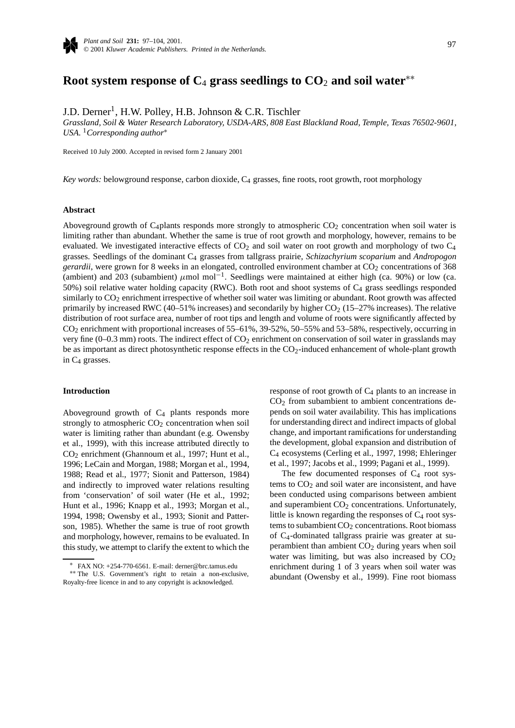

# **Root system response of C**<sup>4</sup> **grass seedlings to CO**<sup>2</sup> **and soil water**∗∗

J.D. Derner<sup>1</sup>, H.W. Polley, H.B. Johnson & C.R. Tischler

*Grassland, Soil & Water Research Laboratory, USDA-ARS, 808 East Blackland Road, Temple, Texas 76502-9601, USA.* <sup>1</sup>*Corresponding author*<sup>∗</sup>

Received 10 July 2000. Accepted in revised form 2 January 2001

*Key words:* belowground response, carbon dioxide, C4 grasses, fine roots, root growth, root morphology

## **Abstract**

Aboveground growth of C<sub>4</sub>plants responds more strongly to atmospheric  $CO<sub>2</sub>$  concentration when soil water is limiting rather than abundant. Whether the same is true of root growth and morphology, however, remains to be evaluated. We investigated interactive effects of  $CO<sub>2</sub>$  and soil water on root growth and morphology of two  $C<sub>4</sub>$ grasses. Seedlings of the dominant C4 grasses from tallgrass prairie, *Schizachyrium scoparium* and *Andropogon gerardii*, were grown for 8 weeks in an elongated, controlled environment chamber at CO<sub>2</sub> concentrations of 368 (ambient) and 203 (subambient) *µ*mol mol−1. Seedlings were maintained at either high (ca. 90%) or low (ca. 50%) soil relative water holding capacity (RWC). Both root and shoot systems of C4 grass seedlings responded similarly to CO<sub>2</sub> enrichment irrespective of whether soil water was limiting or abundant. Root growth was affected primarily by increased RWC (40–51% increases) and secondarily by higher  $CO<sub>2</sub>$  (15–27% increases). The relative distribution of root surface area, number of root tips and length and volume of roots were significantly affected by CO2 enrichment with proportional increases of 55–61%, 39-52%, 50–55% and 53–58%, respectively, occurring in very fine  $(0-0.3 \text{ mm})$  roots. The indirect effect of  $CO<sub>2</sub>$  enrichment on conservation of soil water in grasslands may be as important as direct photosynthetic response effects in the CO<sub>2</sub>-induced enhancement of whole-plant growth in  $C_4$  grasses.

## **Introduction**

Aboveground growth of  $C_4$  plants responds more strongly to atmospheric  $CO<sub>2</sub>$  concentration when soil water is limiting rather than abundant (e.g. Owensby et al., 1999), with this increase attributed directly to CO2 enrichment (Ghannoum et al., 1997; Hunt et al., 1996; LeCain and Morgan, 1988; Morgan et al., 1994, 1988; Read et al., 1977; Sionit and Patterson, 1984) and indirectly to improved water relations resulting from 'conservation' of soil water (He et al., 1992; Hunt et al., 1996; Knapp et al., 1993; Morgan et al., 1994, 1998; Owensby et al., 1993; Sionit and Patterson, 1985). Whether the same is true of root growth and morphology, however, remains to be evaluated. In this study, we attempt to clarify the extent to which the

response of root growth of  $C_4$  plants to an increase in CO2 from subambient to ambient concentrations depends on soil water availability. This has implications for understanding direct and indirect impacts of global change, and important ramifications for understanding the development, global expansion and distribution of C4 ecosystems (Cerling et al., 1997, 1998; Ehleringer et al., 1997; Jacobs et al., 1999; Pagani et al., 1999).

The few documented responses of  $C_4$  root systems to  $CO<sub>2</sub>$  and soil water are inconsistent, and have been conducted using comparisons between ambient and superambient CO<sub>2</sub> concentrations. Unfortunately, little is known regarding the responses of  $C_4$  root systems to subambient  $CO<sub>2</sub>$  concentrations. Root biomass of C4-dominated tallgrass prairie was greater at superambient than ambient  $CO<sub>2</sub>$  during years when soil water was limiting, but was also increased by  $CO<sub>2</sub>$ enrichment during 1 of 3 years when soil water was abundant (Owensby et al., 1999). Fine root biomass

<sup>∗</sup> FAX NO: +254-770-6561. E-mail: derner@brc.tamus.edu ∗∗ The U.S. Government's right to retain a non-exclusive, Royalty-free licence in and to any copyright is acknowledged.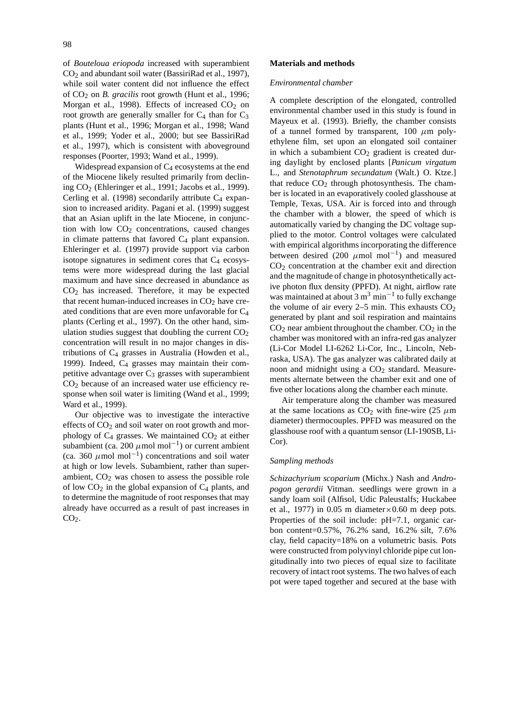of *Bouteloua eriopoda* increased with superambient CO2 and abundant soil water (BassiriRad et al., 1997), while soil water content did not influence the effect of CO2 on *B. gracilis* root growth (Hunt et al., 1996; Morgan et al., 1998). Effects of increased  $CO<sub>2</sub>$  on root growth are generally smaller for  $C_4$  than for  $C_3$ plants (Hunt et al., 1996; Morgan et al., 1998; Wand et al., 1999; Yoder et al., 2000; but see BassiriRad et al., 1997), which is consistent with aboveground responses (Poorter, 1993; Wand et al., 1999).

Widespread expansion of  $C_4$  ecosystems at the end of the Miocene likely resulted primarily from declining  $CO<sub>2</sub>$  (Ehleringer et al., 1991; Jacobs et al., 1999). Cerling et al. (1998) secondarily attribute  $C_4$  expansion to increased aridity. Pagani et al. (1999) suggest that an Asian uplift in the late Miocene, in conjunction with low  $CO<sub>2</sub>$  concentrations, caused changes in climate patterns that favored  $C_4$  plant expansion. Ehleringer et al. (1997) provide support via carbon isotope signatures in sediment cores that  $C_4$  ecosystems were more widespread during the last glacial maximum and have since decreased in abundance as  $CO<sub>2</sub>$  has increased. Therefore, it may be expected that recent human-induced increases in  $CO<sub>2</sub>$  have created conditions that are even more unfavorable for C4 plants (Cerling et al., 1997). On the other hand, simulation studies suggest that doubling the current  $CO<sub>2</sub>$ concentration will result in no major changes in distributions of C4 grasses in Australia (Howden et al., 1999). Indeed,  $C_4$  grasses may maintain their competitive advantage over  $C_3$  grasses with superambient  $CO<sub>2</sub>$  because of an increased water use efficiency response when soil water is limiting (Wand et al., 1999; Ward et al., 1999).

Our objective was to investigate the interactive effects of  $CO<sub>2</sub>$  and soil water on root growth and morphology of  $C_4$  grasses. We maintained  $CO_2$  at either subambient (ca. 200  $\mu$ mol mol<sup>-1</sup>) or current ambient (ca. 360  $\mu$ mol mol<sup>-1</sup>) concentrations and soil water at high or low levels. Subambient, rather than superambient,  $CO<sub>2</sub>$  was chosen to assess the possible role of low  $CO<sub>2</sub>$  in the global expansion of  $C<sub>4</sub>$  plants, and to determine the magnitude of root responses that may already have occurred as a result of past increases in  $CO<sub>2</sub>$ .

# **Materials and methods**

# *Environmental chamber*

A complete description of the elongated, controlled environmental chamber used in this study is found in Mayeux et al. (1993). Briefly, the chamber consists of a tunnel formed by transparent,  $100 \mu m$  polyethylene film, set upon an elongated soil container in which a subambient  $CO<sub>2</sub>$  gradient is created during daylight by enclosed plants [*Panicum virgatum* L., and *Stenotaphrum secundatum* (Walt.) O. Ktze.] that reduce  $CO<sub>2</sub>$  through photosynthesis. The chamber is located in an evaporatively cooled glasshouse at Temple, Texas, USA. Air is forced into and through the chamber with a blower, the speed of which is automatically varied by changing the DC voltage supplied to the motor. Control voltages were calculated with empirical algorithms incorporating the difference between desired (200 *µ*mol mol−1) and measured  $CO<sub>2</sub>$  concentration at the chamber exit and direction and the magnitude of change in photosynthetically active photon flux density (PPFD). At night, airflow rate was maintained at about 3 m<sup>3</sup> min<sup>-1</sup> to fully exchange the volume of air every  $2-5$  min. This exhausts  $CO<sub>2</sub>$ generated by plant and soil respiration and maintains  $CO<sub>2</sub>$  near ambient throughout the chamber.  $CO<sub>2</sub>$  in the chamber was monitored with an infra-red gas analyzer (Li-Cor Model LI-6262 Li-Cor, Inc., Lincoln, Nebraska, USA). The gas analyzer was calibrated daily at noon and midnight using a CO<sub>2</sub> standard. Measurements alternate between the chamber exit and one of five other locations along the chamber each minute.

Air temperature along the chamber was measured at the same locations as  $CO<sub>2</sub>$  with fine-wire (25  $\mu$ m) diameter) thermocouples. PPFD was measured on the glasshouse roof with a quantum sensor (LI-190SB, Li-Cor).

# *Sampling methods*

*Schizachyrium scoparium* (Michx.) Nash and *Andropogon gerardii* Vitman. seedlings were grown in a sandy loam soil (Alfisol, Udic Paleustalfs; Huckabee et al., 1977) in 0.05 m diameter $\times$ 0.60 m deep pots. Properties of the soil include: pH=7.1, organic carbon content=0.57%, 76.2% sand, 16.2% silt, 7.6% clay, field capacity=18% on a volumetric basis. Pots were constructed from polyvinyl chloride pipe cut longitudinally into two pieces of equal size to facilitate recovery of intact root systems. The two halves of each pot were taped together and secured at the base with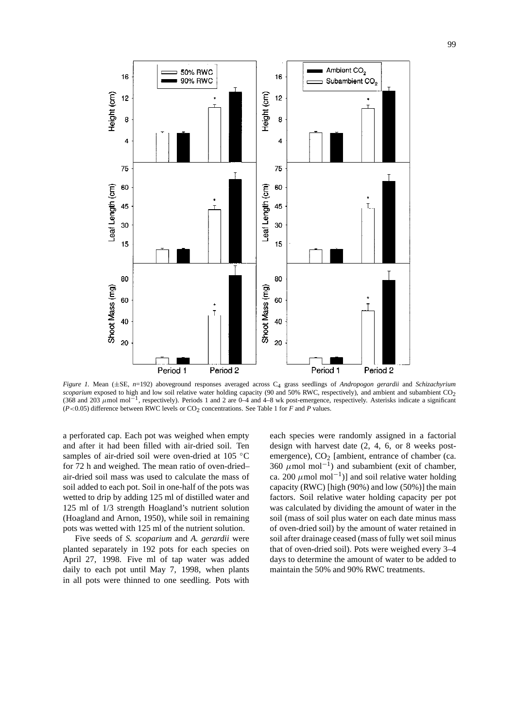

*Figure 1.* Mean (±SE, *n*=192) aboveground responses averaged across C4 grass seedlings of *Andropogon gerardii* and *Schizachyrium scoparium* exposed to high and low soil relative water holding capacity (90 and 50% RWC, respectively), and ambient and subambient CO<sub>2</sub> (368 and 203 *µ*mol mol−1, respectively). Periods 1 and 2 are 0–4 and 4–8 wk post-emergence, respectively. Asterisks indicate a significant  $(P<0.05)$  difference between RWC levels or  $CO<sub>2</sub>$  concentrations. See Table 1 for *F* and *P* values.

a perforated cap. Each pot was weighed when empty and after it had been filled with air-dried soil. Ten samples of air-dried soil were oven-dried at 105 °C for 72 h and weighed. The mean ratio of oven-dried– air-dried soil mass was used to calculate the mass of soil added to each pot. Soil in one-half of the pots was wetted to drip by adding 125 ml of distilled water and 125 ml of 1/3 strength Hoagland's nutrient solution (Hoagland and Arnon, 1950), while soil in remaining pots was wetted with 125 ml of the nutrient solution.

Five seeds of *S. scoparium* and *A. gerardii* were planted separately in 192 pots for each species on April 27, 1998. Five ml of tap water was added daily to each pot until May 7, 1998, when plants in all pots were thinned to one seedling. Pots with

each species were randomly assigned in a factorial design with harvest date (2, 4, 6, or 8 weeks postemergence),  $CO<sub>2</sub>$  [ambient, entrance of chamber (ca. 360  $\mu$ mol mol<sup>-1</sup>) and subambient (exit of chamber, ca. 200  $\mu$ mol mol<sup>-1</sup>)] and soil relative water holding capacity (RWC) [high (90%) and low (50%)] the main factors. Soil relative water holding capacity per pot was calculated by dividing the amount of water in the soil (mass of soil plus water on each date minus mass of oven-dried soil) by the amount of water retained in soil after drainage ceased (mass of fully wet soil minus that of oven-dried soil). Pots were weighed every 3–4 days to determine the amount of water to be added to maintain the 50% and 90% RWC treatments.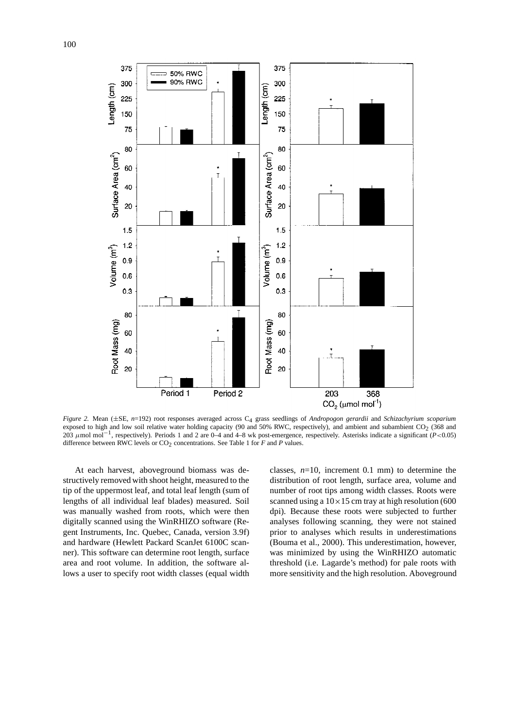

*Figure 2.* Mean (±SE, *n*=192) root responses averaged across C4 grass seedlings of *Andropogon gerardii* and *Schizachyrium scoparium* exposed to high and low soil relative water holding capacity (90 and 50% RWC, respectively), and ambient and subambient  $CO<sub>2</sub>$  (368 and 203 *µ*mol mol<sup>−</sup>1, respectively). Periods 1 and 2 are 0–4 and 4–8 wk post-emergence, respectively. Asterisks indicate a significant (*P<*0.05) difference between RWC levels or CO<sub>2</sub> concentrations. See Table 1 for *F* and *P* values.

At each harvest, aboveground biomass was destructively removed with shoot height, measured to the tip of the uppermost leaf, and total leaf length (sum of lengths of all individual leaf blades) measured. Soil was manually washed from roots, which were then digitally scanned using the WinRHIZO software (Regent Instruments, Inc. Quebec, Canada, version 3.9f) and hardware (Hewlett Packard ScanJet 6100C scanner). This software can determine root length, surface area and root volume. In addition, the software allows a user to specify root width classes (equal width

classes,  $n=10$ , increment 0.1 mm) to determine the distribution of root length, surface area, volume and number of root tips among width classes. Roots were scanned using a  $10\times15$  cm tray at high resolution (600 dpi). Because these roots were subjected to further analyses following scanning, they were not stained prior to analyses which results in underestimations (Bouma et al., 2000). This underestimation, however, was minimized by using the WinRHIZO automatic threshold (i.e. Lagarde's method) for pale roots with more sensitivity and the high resolution. Aboveground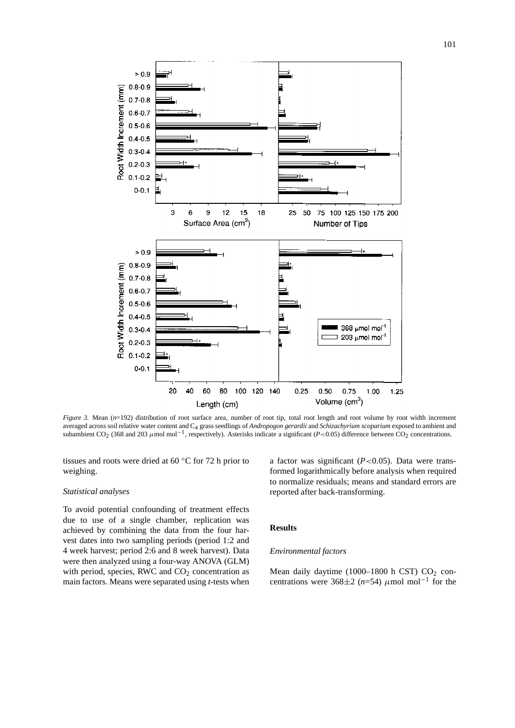

*Figure 3.* Mean ( $n=192$ ) distribution of root surface area, number of root tip, total root length and root volume by root width increment averaged across soil relative water content and C4 grass seedlings of *Andropogon gerardii* and *Schizachyrium scoparium* exposed to ambient and subambient CO<sub>2</sub> (368 and 203  $\mu$ mol mol<sup>-1</sup>, respectively). Asterisks indicate a significant (*P*<0.05) difference between CO<sub>2</sub> concentrations.

tissues and roots were dried at 60 ◦C for 72 h prior to weighing.

## *Statistical analyses*

To avoid potential confounding of treatment effects due to use of a single chamber, replication was achieved by combining the data from the four harvest dates into two sampling periods (period 1:2 and 4 week harvest; period 2:6 and 8 week harvest). Data were then analyzed using a four-way ANOVA (GLM) with period, species, RWC and  $CO<sub>2</sub>$  concentration as main factors. Means were separated using *t*-tests when

a factor was significant (*P<*0.05). Data were transformed logarithmically before analysis when required to normalize residuals; means and standard errors are reported after back-transforming.

## **Results**

#### *Environmental factors*

Mean daily daytime (1000-1800 h CST)  $CO<sub>2</sub>$  concentrations were 368 $\pm$ 2 (*n*=54)  $\mu$ mol mol<sup>-1</sup> for the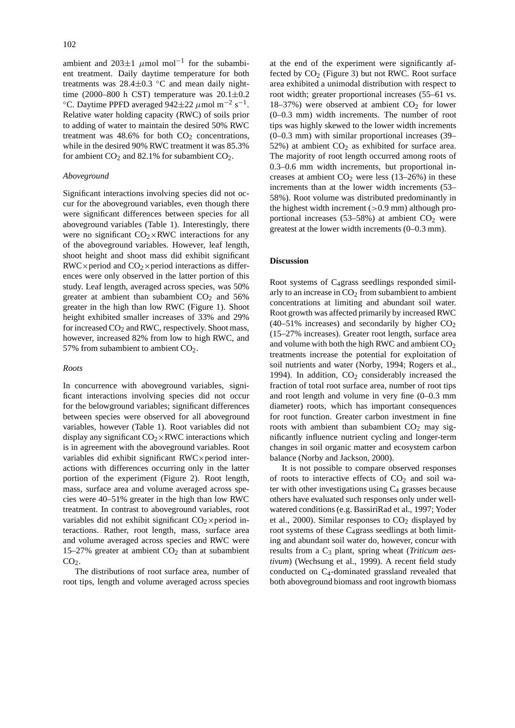ambient and 203 $\pm$ 1  $\mu$ mol mol<sup>-1</sup> for the subambient treatment. Daily daytime temperature for both treatments was  $28.4\pm0.3$  °C and mean daily night-<br>time (2000–800 h CST) temperature was  $20.1\pm0.2$ °C. Daytime PPFD averaged 942±22  $\mu$ mol m<sup>-2</sup> s<sup>-1</sup>. Relative water holding capacity (RWC) of soils prior to adding of water to maintain the desired 50% RWC treatment was  $48.6\%$  for both  $CO<sub>2</sub>$  concentrations, while in the desired 90% RWC treatment it was 85.3% for ambient  $CO<sub>2</sub>$  and 82.1% for subambient  $CO<sub>2</sub>$ .

## *Aboveground*

Significant interactions involving species did not occur for the aboveground variables, even though there were significant differences between species for all aboveground variables (Table 1). Interestingly, there were no significant  $CO_2 \times RWC$  interactions for any of the aboveground variables. However, leaf length, shoot height and shoot mass did exhibit significant  $RWC \times period$  and  $CO<sub>2</sub> \times period$  interactions as differences were only observed in the latter portion of this study. Leaf length, averaged across species, was 50% greater at ambient than subambient  $CO<sub>2</sub>$  and 56% greater in the high than low RWC (Figure 1). Shoot height exhibited smaller increases of 33% and 29% for increased  $CO<sub>2</sub>$  and RWC, respectively. Shoot mass, however, increased 82% from low to high RWC, and 57% from subambient to ambient  $CO<sub>2</sub>$ .

### *Roots*

In concurrence with aboveground variables, significant interactions involving species did not occur for the belowground variables; significant differences between species were observed for all aboveground variables, however (Table 1). Root variables did not display any significant  $CO_2 \times RWC$  interactions which is in agreement with the aboveground variables. Root variables did exhibit significant RWC×period interactions with differences occurring only in the latter portion of the experiment (Figure 2). Root length, mass, surface area and volume averaged across species were 40–51% greater in the high than low RWC treatment. In contrast to aboveground variables, root variables did not exhibit significant  $CO<sub>2</sub> \times period$  interactions. Rather, root length, mass, surface area and volume averaged across species and RWC were 15–27% greater at ambient  $CO<sub>2</sub>$  than at subambient  $CO<sub>2</sub>$ .

The distributions of root surface area, number of root tips, length and volume averaged across species at the end of the experiment were significantly affected by  $CO<sub>2</sub>$  (Figure 3) but not RWC. Root surface area exhibited a unimodal distribution with respect to root width; greater proportional increases (55–61 vs. 18–37%) were observed at ambient  $CO<sub>2</sub>$  for lower (0–0.3 mm) width increments. The number of root tips was highly skewed to the lower width increments (0–0.3 mm) with similar proportional increases (39– 52%) at ambient  $CO<sub>2</sub>$  as exhibited for surface area. The majority of root length occurred among roots of 0.3–0.6 mm width increments, but proportional increases at ambient  $CO<sub>2</sub>$  were less (13–26%) in these increments than at the lower width increments (53– 58%). Root volume was distributed predominantly in the highest width increment (*>*0.9 mm) although proportional increases  $(53-58%)$  at ambient  $CO<sub>2</sub>$  were greatest at the lower width increments (0–0.3 mm).

# **Discussion**

Root systems of C4grass seedlings responded similarly to an increase in  $CO<sub>2</sub>$  from subambient to ambient concentrations at limiting and abundant soil water. Root growth was affected primarily by increased RWC  $(40-51\%$  increases) and secondarily by higher  $CO<sub>2</sub>$ (15–27% increases). Greater root length, surface area and volume with both the high RWC and ambient  $CO<sub>2</sub>$ treatments increase the potential for exploitation of soil nutrients and water (Norby, 1994; Rogers et al., 1994). In addition,  $CO<sub>2</sub>$  considerably increased the fraction of total root surface area, number of root tips and root length and volume in very fine (0–0.3 mm diameter) roots, which has important consequences for root function. Greater carbon investment in fine roots with ambient than subambient  $CO<sub>2</sub>$  may significantly influence nutrient cycling and longer-term changes in soil organic matter and ecosystem carbon balance (Norby and Jackson, 2000).

It is not possible to compare observed responses of roots to interactive effects of  $CO<sub>2</sub>$  and soil water with other investigations using  $C_4$  grasses because others have evaluated such responses only under wellwatered conditions (e.g. BassiriRad et al., 1997; Yoder et al., 2000). Similar responses to  $CO<sub>2</sub>$  displayed by root systems of these  $C_4$ grass seedlings at both limiting and abundant soil water do, however, concur with results from a C3 plant, spring wheat (*Triticum aestivum*) (Wechsung et al., 1999). A recent field study conducted on C4-dominated grassland revealed that both aboveground biomass and root ingrowth biomass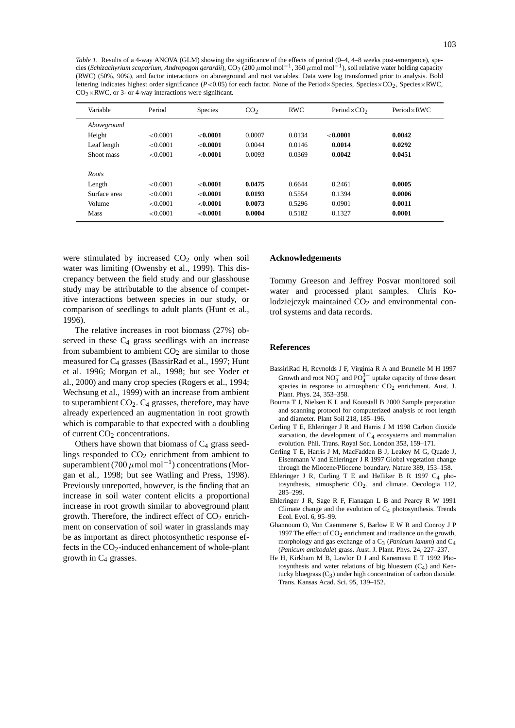*Table 1.* Results of a 4-way ANOVA (GLM) showing the significance of the effects of period (0–4, 4–8 weeks post-emergence), species (*Schizachyrium scoparium, Andropogon gerardii*), CO<sub>2</sub> (200 *μ*mol mol<sup>−1</sup>, 360 *μ*mol mol<sup>−1</sup>), soil relative water holding capacity (RWC) (50%, 90%), and factor interactions on aboveground and root variables. Data were log transformed prior to analysis. Bold lettering indicates highest order significance (*P*<0.05) for each factor. None of the Period×Species, Species×CO<sub>2</sub>, Species×RWC,  $CO<sub>2</sub> \times$ RWC, or 3- or 4-way interactions were significant.

| Variable     | Period   | <b>Species</b> | CO <sub>2</sub> | <b>RWC</b> | Period $\times$ CO <sub>2</sub> | $Period \times RWC$ |
|--------------|----------|----------------|-----------------|------------|---------------------------------|---------------------|
| Aboveground  |          |                |                 |            |                                 |                     |
| Height       | < 0.0001 | ${<}0.0001$    | 0.0007          | 0.0134     | ${<}0.0001$                     | 0.0042              |
| Leaf length  | < 0.0001 | ${<}0.0001$    | 0.0044          | 0.0146     | 0.0014                          | 0.0292              |
| Shoot mass   | < 0.0001 | ${<}0.0001$    | 0.0093          | 0.0369     | 0.0042                          | 0.0451              |
|              |          |                |                 |            |                                 |                     |
| Roots        |          |                |                 |            |                                 |                     |
| Length       | < 0.0001 | ${<}0.0001$    | 0.0475          | 0.6644     | 0.2461                          | 0.0005              |
| Surface area | < 0.0001 | < 0.0001       | 0.0193          | 0.5554     | 0.1394                          | 0.0006              |
| Volume       | < 0.0001 | ${<}0.0001$    | 0.0073          | 0.5296     | 0.0901                          | 0.0011              |
| <b>Mass</b>  | < 0.0001 | ${<}0.0001$    | 0.0004          | 0.5182     | 0.1327                          | 0.0001              |
|              |          |                |                 |            |                                 |                     |

were stimulated by increased  $CO<sub>2</sub>$  only when soil water was limiting (Owensby et al., 1999). This discrepancy between the field study and our glasshouse study may be attributable to the absence of competitive interactions between species in our study, or comparison of seedlings to adult plants (Hunt et al., 1996).

The relative increases in root biomass (27%) observed in these  $C_4$  grass seedlings with an increase from subambient to ambient  $CO<sub>2</sub>$  are similar to those measured for C4 grasses (BassirRad et al., 1997; Hunt et al. 1996; Morgan et al., 1998; but see Yoder et al., 2000) and many crop species (Rogers et al., 1994; Wechsung et al., 1999) with an increase from ambient to superambient  $CO<sub>2</sub>$ .  $C<sub>4</sub>$  grasses, therefore, may have already experienced an augmentation in root growth which is comparable to that expected with a doubling of current  $CO<sub>2</sub>$  concentrations.

Others have shown that biomass of  $C_4$  grass seedlings responded to  $CO<sub>2</sub>$  enrichment from ambient to superambient (700 *µ*mol mol−1) concentrations (Morgan et al., 1998; but see Watling and Press, 1998). Previously unreported, however, is the finding that an increase in soil water content elicits a proportional increase in root growth similar to aboveground plant growth. Therefore, the indirect effect of  $CO<sub>2</sub>$  enrichment on conservation of soil water in grasslands may be as important as direct photosynthetic response effects in the  $CO<sub>2</sub>$ -induced enhancement of whole-plant growth in C4 grasses.

#### **Acknowledgements**

Tommy Greeson and Jeffrey Posvar monitored soil water and processed plant samples. Chris Kolodziejczyk maintained  $CO<sub>2</sub>$  and environmental control systems and data records.

## **References**

- BassiriRad H, Reynolds J F, Virginia R A and Brunelle M H 1997 Growth and root  $NO_3^-$  and  $PO_4^{3-}$  uptake capacity of three desert species in response to atmospheric  $CO<sub>2</sub>$  enrichment. Aust. J. Plant. Phys. 24, 353–358.
- Bouma T J, Nielsen K L and Koutstall B 2000 Sample preparation and scanning protocol for computerized analysis of root length and diameter. Plant Soil 218, 185–196.
- Cerling T E, Ehleringer J R and Harris J M 1998 Carbon dioxide starvation, the development of  $C_4$  ecosystems and mammalian evolution. Phil. Trans. Royal Soc. London 353, 159–171.
- Cerling T E, Harris J M, MacFadden B J, Leakey M G, Quade J, Eisenmann V and Ehleringer J R 1997 Global vegetation change through the Miocene/Pliocene boundary. Nature 389, 153–158.
- Ehleringer J R, Curling T E and Helliker B R 1997  $C_4$  photosynthesis, atmospheric  $CO<sub>2</sub>$ , and climate. Oecologia 112, 285–299.
- Ehleringer J R, Sage R F, Flanagan L B and Pearcy R W 1991 Climate change and the evolution of C4 photosynthesis. Trends Ecol. Evol. 6, 95–99.
- Ghannoum O, Von Caemmerer S, Barlow E W R and Conroy J P 1997 The effect of  $CO<sub>2</sub>$  enrichment and irradiance on the growth, morphology and gas exchange of a  $C_3$  (*Panicum laxum*) and  $C_4$ (*Panicum antitodale*) grass. Aust. J. Plant. Phys. 24, 227–237.
- He H, Kirkham M B, Lawlor D J and Kanemasu E T 1992 Photosynthesis and water relations of big bluestem  $(C_4)$  and Kentucky bluegrass  $(C_3)$  under high concentration of carbon dioxide. Trans. Kansas Acad. Sci. 95, 139–152.